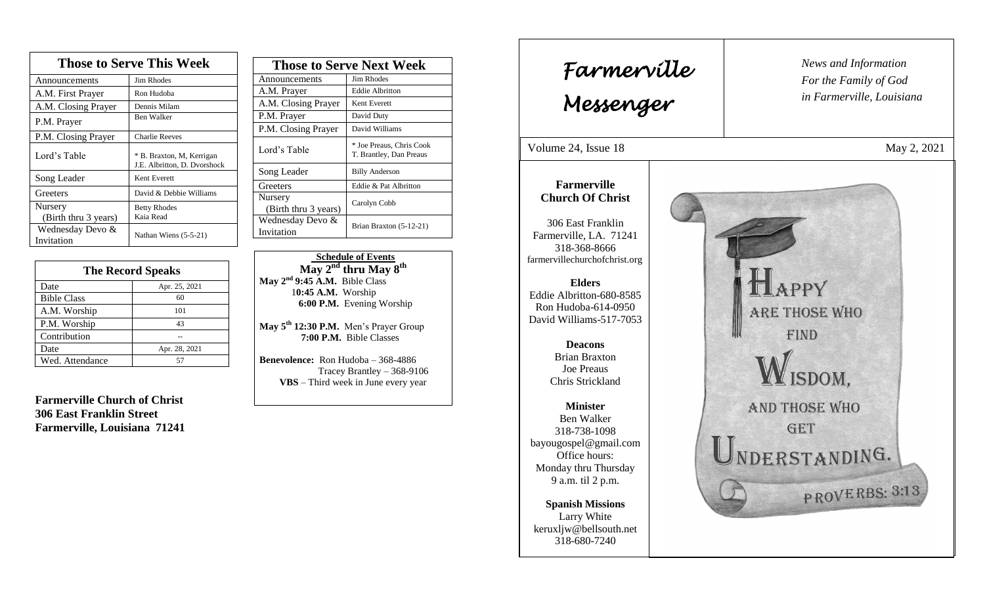| <b>Those to Serve This Week</b> |                                                           |  |
|---------------------------------|-----------------------------------------------------------|--|
| Announcements                   | <b>Jim Rhodes</b>                                         |  |
| A.M. First Prayer               | Ron Hudoba                                                |  |
| A.M. Closing Prayer             | Dennis Milam                                              |  |
| P.M. Prayer                     | Ben Walker                                                |  |
| P.M. Closing Prayer             | <b>Charlie Reeves</b>                                     |  |
| Lord's Table                    | * B. Braxton, M. Kerrigan<br>J.E. Albritton, D. Dvorshock |  |
| Song Leader                     | Kent Everett                                              |  |
| Greeters                        | David & Debbie Williams                                   |  |
| Nursery<br>(Birth thru 3 years) | <b>Betty Rhodes</b><br>Kaia Read                          |  |
| Wednesday Devo &<br>Invitation  | Nathan Wiens (5-5-21)                                     |  |

| <b>The Record Speaks</b> |               |
|--------------------------|---------------|
| Date                     | Apr. 25, 2021 |
| <b>Bible Class</b>       | 60            |
| A.M. Worship             | 101           |
| P.M. Worship             | 43            |
| Contribution             |               |
| Date                     | Apr. 28, 2021 |
| Wed. Attendance          |               |

**Farmerville Church of Christ 306 East Franklin Street Farmerville, Louisiana 71241**

| <b>Those to Serve Next Week</b> |                                                     |
|---------------------------------|-----------------------------------------------------|
| Announcements                   | Jim Rhodes                                          |
| A.M. Prayer                     | <b>Eddie Albritton</b>                              |
| A.M. Closing Prayer             | Kent Everett                                        |
| P.M. Prayer                     | David Duty                                          |
| P.M. Closing Prayer             | David Williams                                      |
| Lord's Table                    | * Joe Preaus, Chris Cook<br>T. Brantley, Dan Preaus |
| Song Leader                     | <b>Billy Anderson</b>                               |
| Greeters                        | Eddie & Pat Albritton                               |
| Nursery<br>(Birth thru 3 years) | Carolyn Cobb                                        |
| Wednesday Devo &<br>Invitation  | Brian Braxton (5-12-21)                             |

 **Schedule of Events May 2nd thru May 8 th May 2nd 9:45 A.M.** Bible Class 1**0:45 A.M.** Worship  **6:00 P.M.** Evening Worship

**May 5th 12:30 P.M.** Men's Prayer Group **7:00 P.M.** Bible Classes

**Benevolence:** Ron Hudoba – 368-4886 Tracey Brantley – 368-9106 **VBS** – Third week in June every year

*News and Information* **Farmerville**  $\begin{bmatrix} \text{News an} \\ \text{For the} \end{bmatrix}$ *For the Family of God in Farmerville, Louisiana Messenger*  Volume 24, Issue 18 May 2, 2021 , 2015 **Farmerville Church Of Christ** 306 East Franklin Farmerville, LA. 71241 318-368-8666 farmervillechurchofchrist.org APPY **Elders** Eddie Albritton-680-8585 Ron Hudoba-614-0950 **ARE THOSE WHO** David Williams-517-7053 **FIND Deacons**  Brian Braxton Joe Preaus ISDOM, Chris Strickland **AND THOSE WHO Minister** Ben Walker GET 318-738-1098 bayougospel@gmail.com UNDERSTANDING. Office hours: Monday thru Thursday 9 a.m. til 2 p.m. PROVERBS: 3:13 **Spanish Missions** Larry White keruxljw@bellsouth.net 318-680-7240